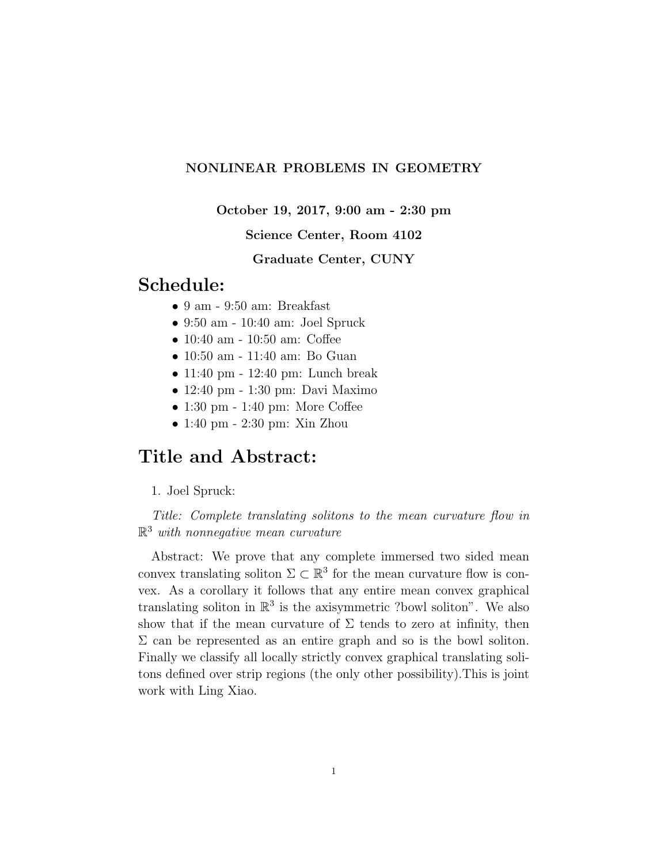### NONLINEAR PROBLEMS IN GEOMETRY

October 19, 2017, 9:00 am - 2:30 pm

### Science Center, Room 4102

Graduate Center, CUNY

## Schedule:

- 9 am 9:50 am: Breakfast
- 9:50 am 10:40 am: Joel Spruck
- 10:40 am 10:50 am: Coffee
- 10:50 am 11:40 am: Bo Guan
- 11:40 pm 12:40 pm: Lunch break
- 12:40 pm 1:30 pm: Davi Maximo
- 1:30 pm 1:40 pm: More Coffee
- 1:40 pm 2:30 pm: Xin Zhou

## Title and Abstract:

1. Joel Spruck:

Title: Complete translating solitons to the mean curvature flow in  $\mathbb{R}^3$  with nonnegative mean curvature

Abstract: We prove that any complete immersed two sided mean convex translating soliton  $\Sigma \subset \mathbb{R}^3$  for the mean curvature flow is convex. As a corollary it follows that any entire mean convex graphical translating soliton in  $\mathbb{R}^3$  is the axisymmetric ?bowl soliton". We also show that if the mean curvature of  $\Sigma$  tends to zero at infinity, then  $\Sigma$  can be represented as an entire graph and so is the bowl soliton. Finally we classify all locally strictly convex graphical translating solitons defined over strip regions (the only other possibility).This is joint work with Ling Xiao.